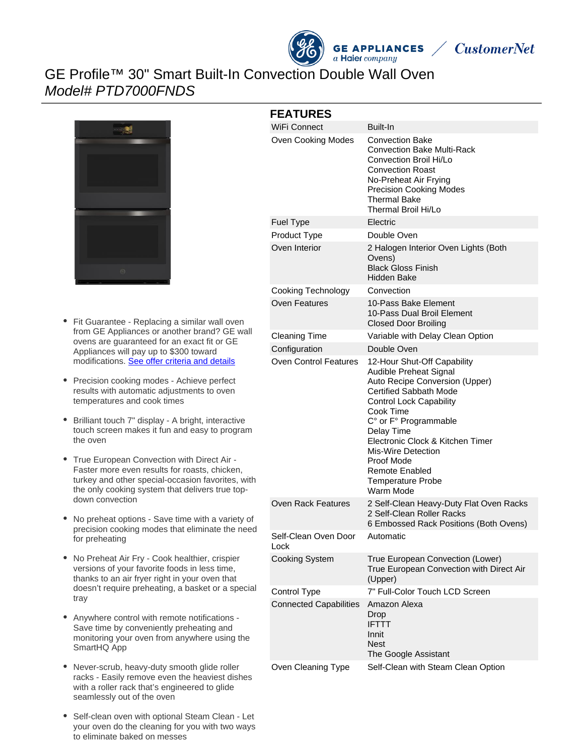



# GE Profile™ 30" Smart Built-In Convection Double Wall Oven Model# PTD7000FNDS



- Fit Guarantee Replacing a similar wall oven from GE Appliances or another brand? GE wall ovens are guaranteed for an exact fit or GE Appliances will pay up to \$300 toward modifications. [See offer criteria and details](http://www.geappliances.com/ge-fits)
- $\bullet$ Precision cooking modes - Achieve perfect results with automatic adjustments to oven temperatures and cook times
- Brilliant touch 7" display A bright, interactive touch screen makes it fun and easy to program the oven
- True European Convection with Direct Air Faster more even results for roasts, chicken, turkey and other special-occasion favorites, with the only cooking system that delivers true topdown convection
- No preheat options Save time with a variety of precision cooking modes that eliminate the need for preheating
- No Preheat Air Fry Cook healthier, crispier versions of your favorite foods in less time, thanks to an air fryer right in your oven that doesn't require preheating, a basket or a special tray
- Anywhere control with remote notifications Save time by conveniently preheating and monitoring your oven from anywhere using the SmartHQ App
- Never-scrub, heavy-duty smooth glide roller racks - Easily remove even the heaviest dishes with a roller rack that's engineered to glide seamlessly out of the oven
- Self-clean oven with optional Steam Clean Let your oven do the cleaning for you with two ways to eliminate baked on messes

|  | <b>FEATURES</b> |
|--|-----------------|
|  |                 |

| <b>FEATURES</b>               |                                                                                                                                                                                                                                                                                                                                                   |
|-------------------------------|---------------------------------------------------------------------------------------------------------------------------------------------------------------------------------------------------------------------------------------------------------------------------------------------------------------------------------------------------|
| <b>WiFi Connect</b>           | Built-In                                                                                                                                                                                                                                                                                                                                          |
| Oven Cooking Modes            | <b>Convection Bake</b><br>Convection Bake Multi-Rack<br>Convection Broil Hi/Lo<br><b>Convection Roast</b><br>No-Preheat Air Frying<br><b>Precision Cooking Modes</b><br>Thermal Bake<br>Thermal Broil Hi/Lo                                                                                                                                       |
| Fuel Type                     | Electric                                                                                                                                                                                                                                                                                                                                          |
| Product Type                  | Double Oven                                                                                                                                                                                                                                                                                                                                       |
| Oven Interior                 | 2 Halogen Interior Oven Lights (Both<br>Ovens)<br><b>Black Gloss Finish</b><br><b>Hidden Bake</b>                                                                                                                                                                                                                                                 |
| <b>Cooking Technology</b>     | Convection                                                                                                                                                                                                                                                                                                                                        |
| Oven Features                 | 10-Pass Bake Element<br>10-Pass Dual Broil Element<br><b>Closed Door Broiling</b>                                                                                                                                                                                                                                                                 |
| <b>Cleaning Time</b>          | Variable with Delay Clean Option                                                                                                                                                                                                                                                                                                                  |
| Configuration                 | Double Oven                                                                                                                                                                                                                                                                                                                                       |
| <b>Oven Control Features</b>  | 12-Hour Shut-Off Capability<br>Audible Preheat Signal<br>Auto Recipe Conversion (Upper)<br><b>Certified Sabbath Mode</b><br><b>Control Lock Capability</b><br>Cook Time<br>C° or F° Programmable<br>Delay Time<br>Electronic Clock & Kitchen Timer<br>Mis-Wire Detection<br>Proof Mode<br>Remote Enabled<br><b>Temperature Probe</b><br>Warm Mode |
| <b>Oven Rack Features</b>     | 2 Self-Clean Heavy-Duty Flat Oven Racks<br>2 Self-Clean Roller Racks<br>6 Embossed Rack Positions (Both Ovens)                                                                                                                                                                                                                                    |
| Self-Clean Oven Door<br>Lock  | Automatic                                                                                                                                                                                                                                                                                                                                         |
| <b>Cooking System</b>         | True European Convection (Lower)<br>True European Convection with Direct Air<br>(Upper)                                                                                                                                                                                                                                                           |
| Control Type                  | 7" Full-Color Touch LCD Screen                                                                                                                                                                                                                                                                                                                    |
| <b>Connected Capabilities</b> | Amazon Alexa<br>Drop<br><b>IFTTT</b><br>Innit<br><b>Nest</b><br>The Google Assistant                                                                                                                                                                                                                                                              |
| Oven Cleaning Type            | Self-Clean with Steam Clean Option                                                                                                                                                                                                                                                                                                                |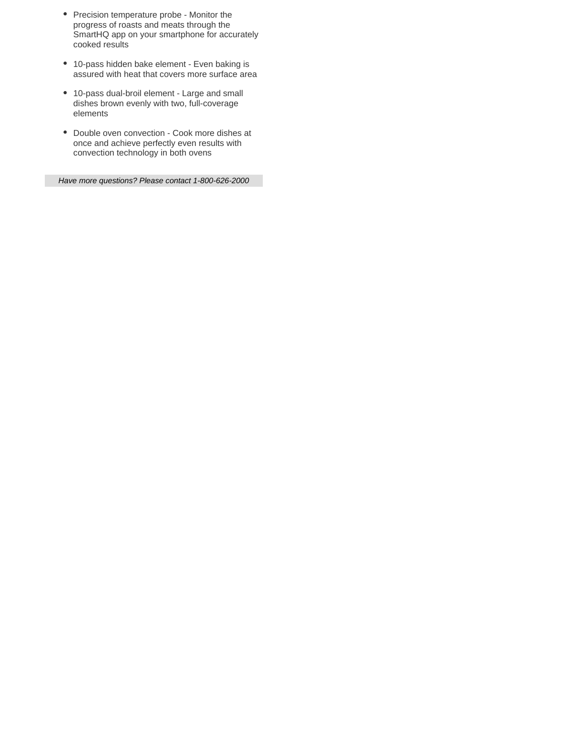- Precision temperature probe Monitor the progress of roasts and meats through the SmartHQ app on your smartphone for accurately cooked results
- 10-pass hidden bake element Even baking is assured with heat that covers more surface area
- 10-pass dual-broil element Large and small dishes brown evenly with two, full-coverage elements
- Double oven convection Cook more dishes at once and achieve perfectly even results with convection technology in both ovens

Have more questions? Please contact 1-800-626-2000